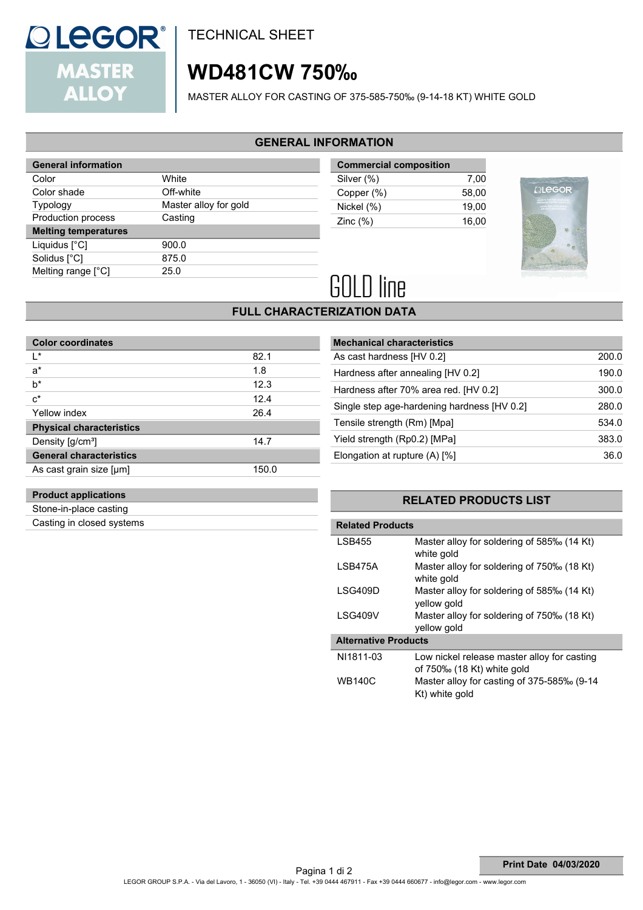

**TECHNICAL SHEET** 

# **WD481CW 750‰**

MASTER ALLOY FOR CASTING OF 375-585-750‰ (9-14-18 KT) WHITE GOLD

### **GENERAL INFORMATION**

| <b>General information</b>  |                       |  |  |
|-----------------------------|-----------------------|--|--|
| Color                       | White                 |  |  |
| Color shade                 | Off-white             |  |  |
| <b>Typology</b>             | Master alloy for gold |  |  |
| Production process          | Casting               |  |  |
| <b>Melting temperatures</b> |                       |  |  |
| Liquidus $[^{\circ}C]$      | 900.0                 |  |  |
| Solidus [°C]                | 875.0                 |  |  |
| Melting range [°C]          | 25.0                  |  |  |
|                             |                       |  |  |

| <b>Commercial composition</b> |       |
|-------------------------------|-------|
| Silver (%)                    | 7.00  |
| Copper (%)                    | 58.00 |
| Nickel (%)                    | 19.00 |
| Zinc $(\%)$                   | 16.00 |
|                               |       |



# **GOLD** line

### **FULL CHARACTERIZATION DATA**

| <b>Color coordinates</b>        |       |
|---------------------------------|-------|
| ı∗                              | 82.1  |
| $a^*$                           | 1.8   |
| $b^*$                           | 12.3  |
| $c^*$                           | 12.4  |
| Yellow index                    | 26.4  |
| <b>Physical characteristics</b> |       |
| Density [g/cm <sup>3</sup> ]    | 14.7  |
| <b>General characteristics</b>  |       |
| As cast grain size [µm]         | 150.0 |

| <b>Mechanical characteristics</b>           |       |
|---------------------------------------------|-------|
| As cast hardness [HV 0.2]                   | 200.0 |
| Hardness after annealing [HV 0.2]           | 190.0 |
| Hardness after 70% area red. [HV 0.2]       | 300.0 |
| Single step age-hardening hardness [HV 0.2] | 280.0 |
| Tensile strength (Rm) [Mpa]                 | 534.0 |
| Yield strength (Rp0.2) [MPa]                | 383.0 |
| Elongation at rupture $(A)$ [%]             | 36.0  |
|                                             |       |

### **Product applications**

Stone-in-place casting Casting in closed systems

### **RELATED PRODUCTS LIST**

| <b>Related Products</b>     |                                                                           |  |  |  |
|-----------------------------|---------------------------------------------------------------------------|--|--|--|
| <b>LSB455</b>               | Master alloy for soldering of 585‰ (14 Kt)<br>white gold                  |  |  |  |
| LSB475A                     | Master alloy for soldering of 750‰ (18 Kt)<br>white gold                  |  |  |  |
| LSG409D                     | Master alloy for soldering of 585‰ (14 Kt)<br>vellow gold                 |  |  |  |
| LSG409V                     | Master alloy for soldering of 750‰ (18 Kt)<br>yellow gold                 |  |  |  |
| <b>Alternative Products</b> |                                                                           |  |  |  |
| NI1811-03                   | Low nickel release master alloy for casting<br>of 750‰ (18 Kt) white gold |  |  |  |
| <b>WB140C</b>               | Master alloy for casting of 375-585‰ (9-14<br>Kt) white gold              |  |  |  |